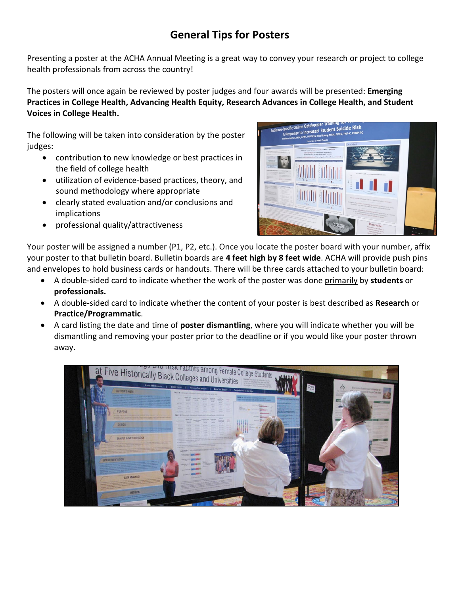## **General Tips for Posters**

Presenting a poster at the ACHA Annual Meeting is a great way to convey your research or project to college health professionals from across the country!

The posters will once again be reviewed by poster judges and four awards will be presented: **Emerging Practices in College Health, Advancing Health Equity, Research Advances in College Health, and Student Voices in College Health.**

The following will be taken into consideration by the poster judges:

- contribution to new knowledge or best practices in the field of college health
- utilization of evidence-based practices, theory, and sound methodology where appropriate
- clearly stated evaluation and/or conclusions and implications
- professional quality/attractiveness



Your poster will be assigned a number (P1, P2, etc.). Once you locate the poster board with your number, affix your poster to that bulletin board. Bulletin boards are **4 feet high by 8 feet wide**. ACHA will provide push pins and envelopes to hold business cards or handouts. There will be three cards attached to your bulletin board:

- A double-sided card to indicate whether the work of the poster was done primarily by **students** or **professionals.**
- A double-sided card to indicate whether the content of your poster is best described as **Research** or **Practice/Programmatic**.
- A card listing the date and time of **poster dismantling**, where you will indicate whether you will be dismantling and removing your poster prior to the deadline or if you would like your poster thrown away.